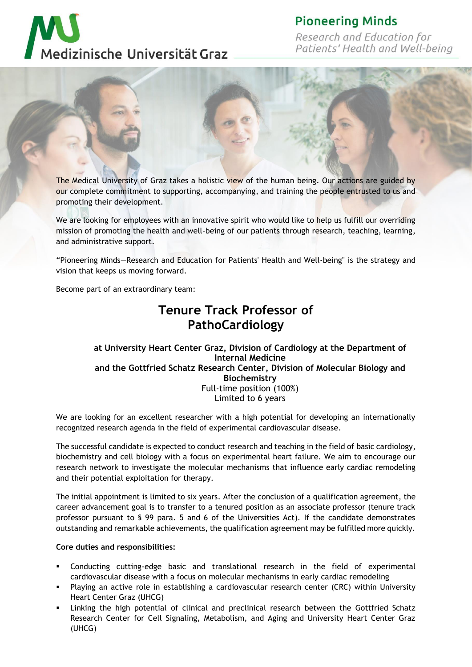# **Pioneering Minds**

Research and Education for Patients' Health and Well-being





The Medical University of Graz takes a holistic view of the human being. Our actions are guided by our complete commitment to supporting, accompanying, and training the people entrusted to us and promoting their development.

We are looking for employees with an innovative spirit who would like to help us fulfill our overriding mission of promoting the health and well-being of our patients through research, teaching, learning, and administrative support.

"Pioneering Minds—Research and Education for Patients' Health and Well-being" is the strategy and vision that keeps us moving forward.

Become part of an extraordinary team:

# **Tenure Track Professor of PathoCardiology**

## **at University Heart Center Graz, Division of Cardiology at the Department of Internal Medicine and the Gottfried Schatz Research Center, Division of Molecular Biology and Biochemistry** Full-time position (100%) Limited to 6 years

We are looking for an excellent researcher with a high potential for developing an internationally recognized research agenda in the field of experimental cardiovascular disease.

The successful candidate is expected to conduct research and teaching in the field of basic cardiology, biochemistry and cell biology with a focus on experimental heart failure. We aim to encourage our research network to investigate the molecular mechanisms that influence early cardiac remodeling and their potential exploitation for therapy.

The initial appointment is limited to six years. After the conclusion of a qualification agreement, the career advancement goal is to transfer to a tenured position as an associate professor (tenure track professor pursuant to § 99 para. 5 and 6 of the Universities Act). If the candidate demonstrates outstanding and remarkable achievements, the qualification agreement may be fulfilled more quickly.

## **Core duties and responsibilities:**

- Conducting cutting-edge basic and translational research in the field of experimental cardiovascular disease with a focus on molecular mechanisms in early cardiac remodeling
- Playing an active role in establishing a cardiovascular research center (CRC) within University Heart Center Graz (UHCG)
- Linking the high potential of clinical and preclinical research between the Gottfried Schatz Research Center for Cell Signaling, Metabolism, and Aging and University Heart Center Graz (UHCG)